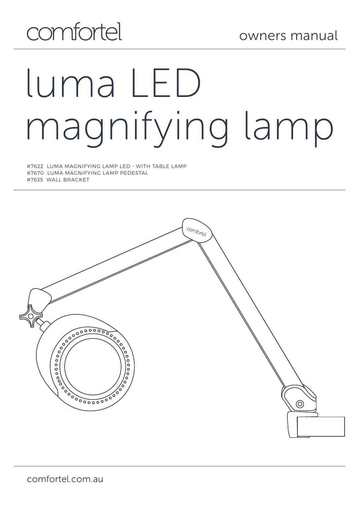# comfortel

# luma LED magnifying lamp

#7622 LUMA MAGNIFYING LAMP LED - WITH TABLE LAMP #7670 LUMA MAGNIFYING LAMP PEDESTAL #7635 WALL BRACKET

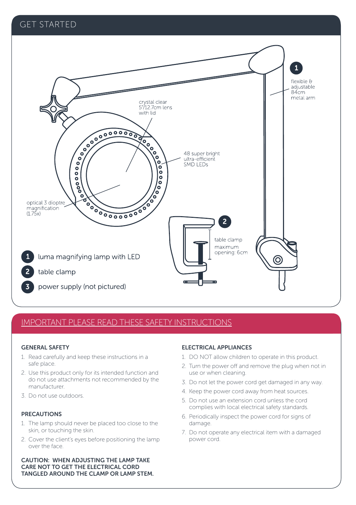### GET STARTED



### IMPORTANT PLEASE READ THESE SAFETY INSTRUCTIONS

### GENERAL SAFETY

- 1. Read carefully and keep these instructions in a safe place.
- 2. Use this product only for its intended function and do not use attachments not recommended by the manufacturer.
- 3. Do not use outdoors.

### PRECAUTIONS

- 1. The lamp should never be placed too close to the skin, or touching the skin.
- 2. Cover the client's eyes before positioning the lamp over the face.

### CAUTION: WHEN ADJUSTING THE LAMP TAKE CARE NOT TO GET THE ELECTRICAL CORD TANGLED AROUND THE CLAMP OR LAMP STEM.

### ELECTRICAL APPLIANCES

- 1. DO NOT allow children to operate in this product.
- 2. Turn the power off and remove the plug when not in use or when cleaning.
- 3. Do not let the power cord get damaged in any way.
- 4. Keep the power cord away from heat sources.
- 5. Do not use an extension cord unless the cord complies with local electrical safety standards.
- 6. Periodically inspect the power cord for signs of damage.
- 7. Do not operate any electrical item with a damaged power cord.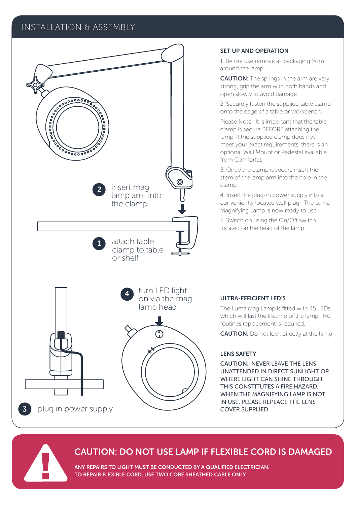### INSTALLATION & ASSEMBLY



### SET UP AND OPERATION

1. Before use remove all packaging from around the lamp.

CAUTION: The springs in the arm are very strong, grip the arm with both hands and open slowly to avoid damage.

2. Securely fasten the supplied table clamp onto the edge of a table or workbench.

Please Note: It is important that the table clamp is secure BEFORE attaching the lamp. If the supplied clamp does not meet your exact requirements, there is an optional Wall Mount or Pedestal available from Comfortel.

3. Once the clamp is secure insert the stem of the lamp arm into the hole in the clamp.

4. Insert the plug-in power supply into a conveniently located wall plug. The Luma Magnifying Lamp is now ready to use.

5. Switch on using the On/Off switch located on the head of the lamp.

### ULTRA-EFFICIENT LED'S

The Luma Mag Lamp is fitted with 45 LEDs which will last the lifetime of the lamp. No routines replacement is required.

**CAUTION:** Do not look directly at the lamp

### LENS SAFETY

CAUTION: NEVER LEAVE THE LENS UNATTENDED IN DIRECT SUNLIGHT OR WHERE LIGHT CAN SHINE THROUGH. THIS CONSTITUTES A FIRE HAZARD. WHEN THE MAGNIFYING LAMP IS NOT IN USE, PLEASE REPLACE THE LENS COVER SUPPLIED.

### CAUTION: DO NOT USE LAMP IF FLEXIBLE CORD IS DAMAGED

ANY REPAIRS TO LIGHT MUST BE CONDUCTED BY A QUALIFIED ELECTRICIAN. TO REPAIR FLEXIBLE CORD, USE TWO CORE SHEATHED CABLE ONLY.